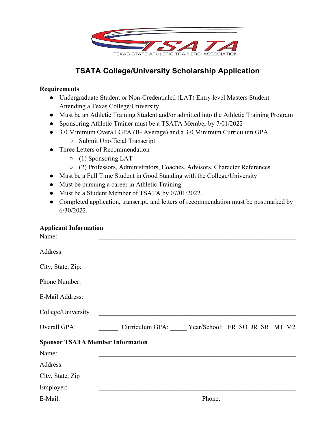

## **TSATA College/University Scholarship Application**

## **Requirements**

- Undergraduate Student or Non-Credentialed (LAT) Entry level Masters Student Attending a Texas College/University
- Must be an Athletic Training Student and/or admitted into the Athletic Training Program
- Sponsoring Athletic Trainer must be a TSATA Member by 7/01/2022
- 3.0 Minimum Overall GPA (B- Average) and a 3.0 Minimum Curriculum GPA
	- Submit Unofficial Transcript
- Three Letters of Recommendation
	- (1) Sponsoring LAT
	- (2) Professors, Administrators, Coaches, Advisors, Character References
- Must be a Full Time Student in Good Standing with the College/University
- Must be pursuing a career in Athletic Training
- Must be a Student Member of TSATA by 07/01/2022.
- Completed application, transcript, and letters of recommendation must be postmarked by 6/30/2022.

## **Applicant Information**

| <u> 1990 - Johann John Barn, mars an t-Amerikaansk politiker (</u>                                                   |                                                                                                                                                                                   |
|----------------------------------------------------------------------------------------------------------------------|-----------------------------------------------------------------------------------------------------------------------------------------------------------------------------------|
|                                                                                                                      |                                                                                                                                                                                   |
| and the control of the control of the control of the control of the control of the control of the control of the     |                                                                                                                                                                                   |
| <u> 1989 - Jan Barnett, fransk politiker (d. 1989)</u>                                                               |                                                                                                                                                                                   |
|                                                                                                                      |                                                                                                                                                                                   |
| <b>Sponsor TSATA Member Information</b>                                                                              |                                                                                                                                                                                   |
| the control of the control of the control of the control of the control of                                           |                                                                                                                                                                                   |
|                                                                                                                      |                                                                                                                                                                                   |
|                                                                                                                      |                                                                                                                                                                                   |
|                                                                                                                      |                                                                                                                                                                                   |
| <u> 2002 - Jan James James James James James James James James James James James James James James James James J</u> |                                                                                                                                                                                   |
|                                                                                                                      | Curriculum GPA: Year/School: FR SO JR SR M1 M2<br><u> 2000 - Jan Barat, margaret amerikan basa dan basa dan basa dan basa dan basa dan basa dan basa dan basa dan b</u><br>Phone: |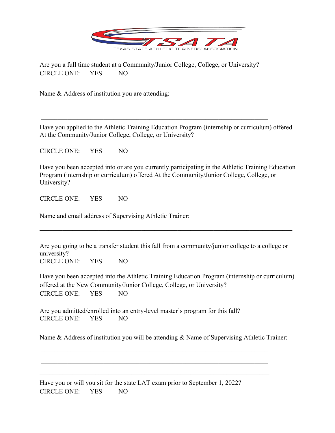

Are you a full time student at a Community/Junior College, College, or University? CIRCLE ONE: YES NO

Name & Address of institution you are attending:

Have you applied to the Athletic Training Education Program (internship or curriculum) offered At the Community/Junior College, College, or University?

CIRCLE ONE: YES NO

Have you been accepted into or are you currently participating in the Athletic Training Education Program (internship or curriculum) offered At the Community/Junior College, College, or University?

CIRCLE ONE: YES NO

Name and email address of Supervising Athletic Trainer:

Are you going to be a transfer student this fall from a community/junior college to a college or university? CIRCLE ONE: YES NO

Have you been accepted into the Athletic Training Education Program (internship or curriculum) offered at the New Community/Junior College, College, or University? CIRCLE ONE: YES NO

Are you admitted/enrolled into an entry-level master's program for this fall? CIRCLE ONE: YES NO

Name & Address of institution you will be attending & Name of Supervising Athletic Trainer:

Have you or will you sit for the state LAT exam prior to September 1, 2022? CIRCLE ONE: YES NO